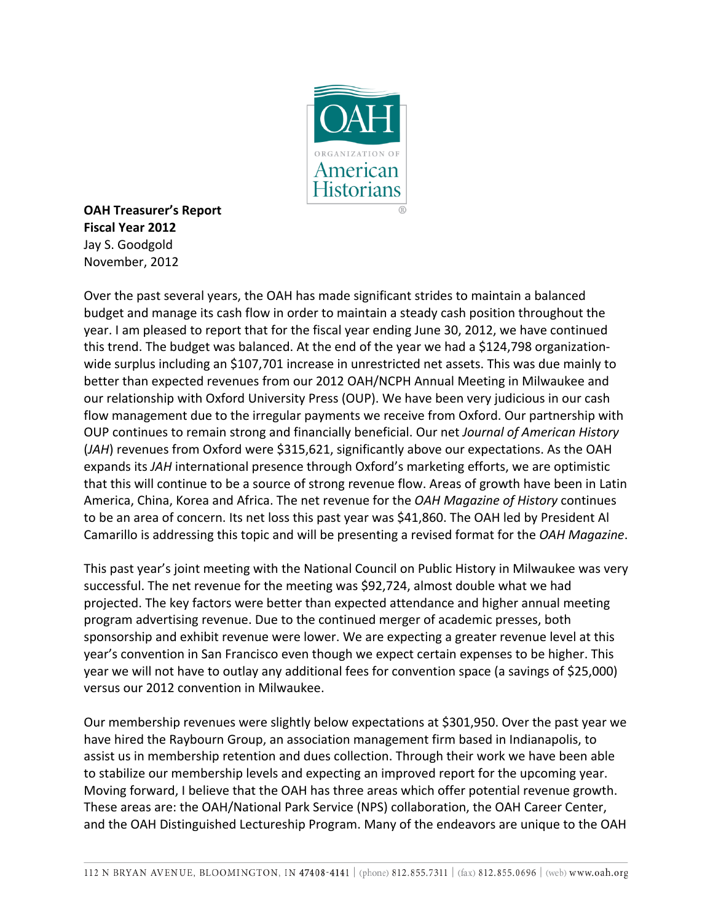

**OAH Treasurer's Report Fiscal Year 2012** Jay S. Goodgold November, 2012

Over the past several years, the OAH has made significant strides to maintain a balanced budget and manage its cash flow in order to maintain a steady cash position throughout the year. I am pleased to report that for the fiscal year ending June 30, 2012, we have continued this trend. The budget was balanced. At the end of the year we had a \$124,798 organizationwide surplus including an \$107,701 increase in unrestricted net assets. This was due mainly to better than expected revenues from our 2012 OAH/NCPH Annual Meeting in Milwaukee and our relationship with Oxford University Press (OUP). We have been very judicious in our cash flow management due to the irregular payments we receive from Oxford. Our partnership with OUP continues to remain strong and financially beneficial. Our net *Journal of American History* (JAH) revenues from Oxford were \$315,621, significantly above our expectations. As the OAH expands its JAH international presence through Oxford's marketing efforts, we are optimistic that this will continue to be a source of strong revenue flow. Areas of growth have been in Latin America, China, Korea and Africa. The net revenue for the *OAH Magazine of History* continues to be an area of concern. Its net loss this past year was \$41,860. The OAH led by President Al Camarillo is addressing this topic and will be presenting a revised format for the *OAH Magazine*.

This past year's joint meeting with the National Council on Public History in Milwaukee was very successful. The net revenue for the meeting was \$92,724, almost double what we had projected. The key factors were better than expected attendance and higher annual meeting program advertising revenue. Due to the continued merger of academic presses, both sponsorship and exhibit revenue were lower. We are expecting a greater revenue level at this year's convention in San Francisco even though we expect certain expenses to be higher. This year we will not have to outlay any additional fees for convention space (a savings of \$25,000) versus our 2012 convention in Milwaukee.

Our membership revenues were slightly below expectations at \$301,950. Over the past year we have hired the Raybourn Group, an association management firm based in Indianapolis, to assist us in membership retention and dues collection. Through their work we have been able to stabilize our membership levels and expecting an improved report for the upcoming year. Moving forward, I believe that the OAH has three areas which offer potential revenue growth. These areas are: the OAH/National Park Service (NPS) collaboration, the OAH Career Center, and the OAH Distinguished Lectureship Program. Many of the endeavors are unique to the OAH